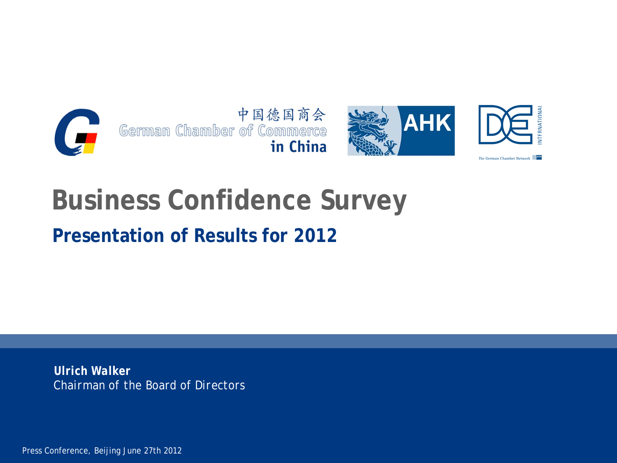



NATIONA

# **Business Confidence Survey**

## **Presentation of Results for 2012**

*Ulrich Walker Chairman of the Board of Directors*

Press Conference, Beijing June 27th 2012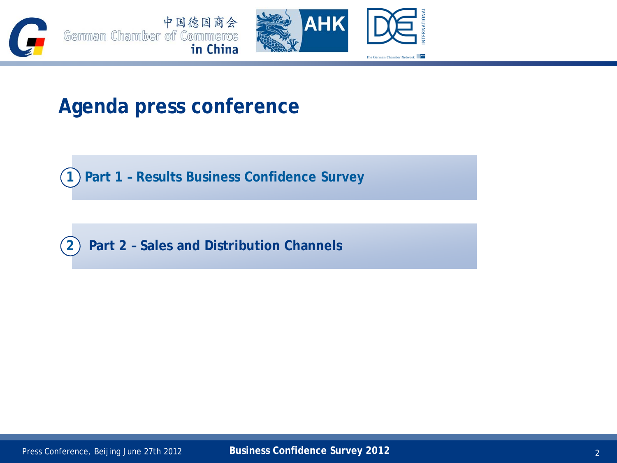



## **Agenda press conference**

**1 Part 1 – Results Business Confidence Survey** 

**2 Part 2 – Sales and Distribution Channels**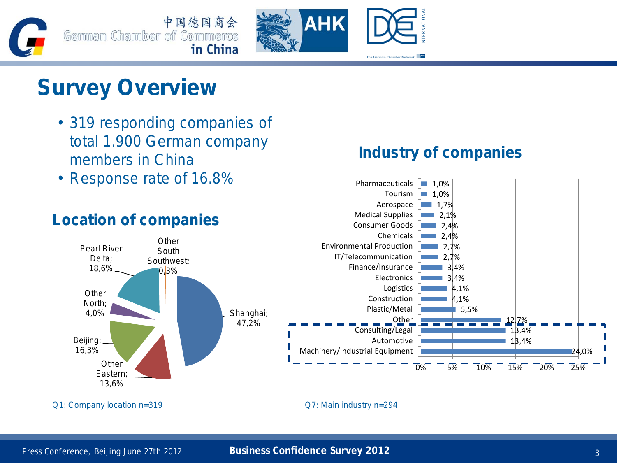### Press Conference, Beijing June 27th 2012 **Business Confidence Survey 2012** 3 3 3 3 3 3 3 3 3 3 3 3 3 3 3 3 3 3 4 3 3 3 3 3 4 3 3 3 3 4 3 3 3 4 3 3 4 3 3 4 3 3 4 3 4 3 3 4 3 4 3 4 3 4 3 4 3 4 3 4 3 4 3 4 3 4 3 4 3 4 3 4 3 4



### Q1: Company location n=319 Q7: Main industry n=294



### **Industry of companies**

1,7% 1,0%  $1,0%$ 

m.

Aerospace Tourism

Pharmaceuticals

## **Survey Overview**

- 319 responding companies of total 1.900 German company members in China
- Response rate of 16.8%





24,0%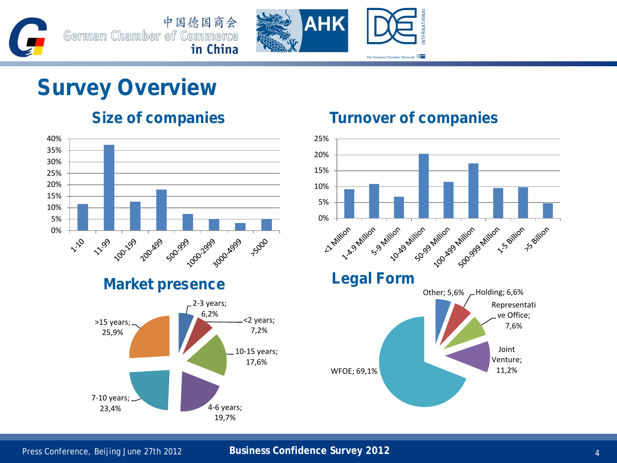



## **Survey Overview**





### **Size of companies Turnover of companies**

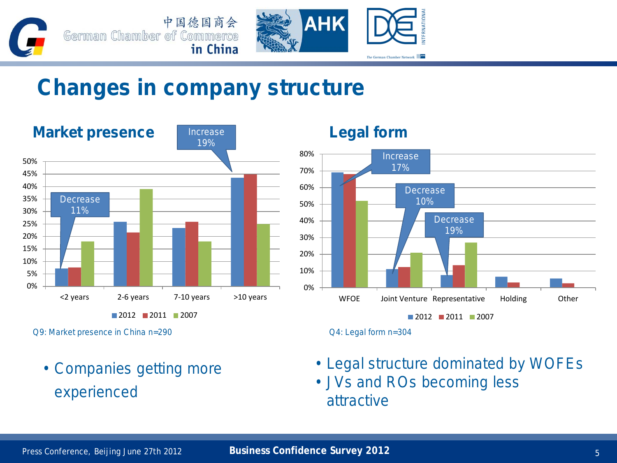



## **Changes in company structure**



Q9: Market presence in China n=290 Q4: Legal form n=304

• Companies getting more experienced



- Legal structure dominated by WOFEs
- JVs and ROs becoming less attractive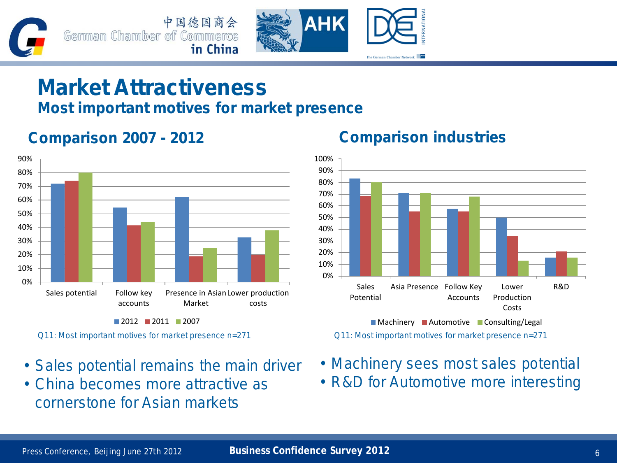



## **Market Attractiveness**

### **Most important motives for market presence**



**Comparison 2007 - 2012 Comparison industries**

- Sales potential remains the main driver
- China becomes more attractive as cornerstone for Asian markets



- Machinery sees most sales potential
- R&D for Automotive more interesting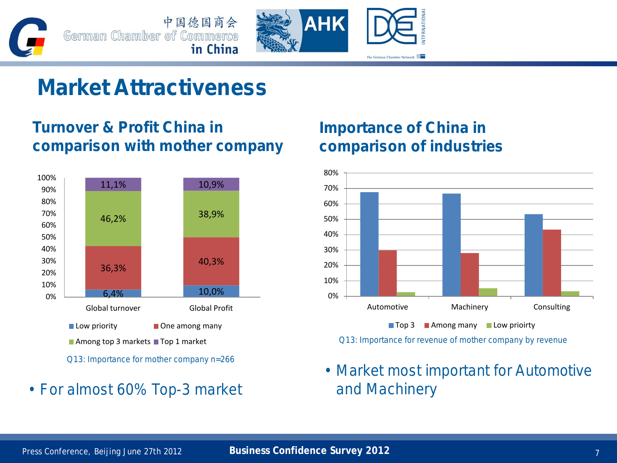





## **Market Attractiveness**

### **Turnover & Profit China in comparison with mother company**



• For almost 60% Top-3 market and Machinery

### **Importance of China in comparison of industries**



Q13: Importance for revenue of mother company by revenue

• Market most important for Automotive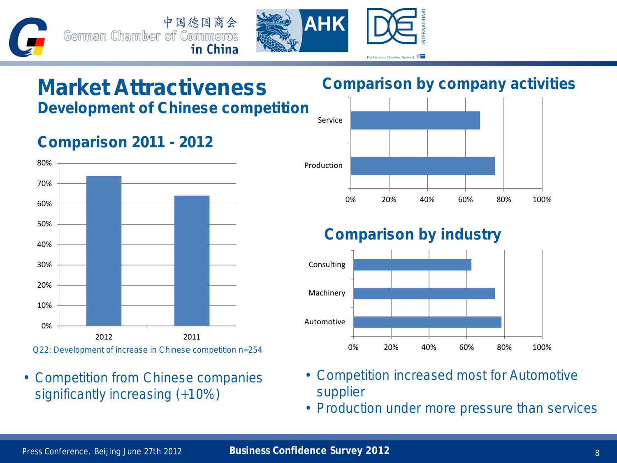中国德国商会 German Chamber of Commerce in China



# **Market Attractiveness**

**Development of Chinese competition**

## **Comparison 2011 - 2012**



• Competition from Chinese companies significantly increasing (+10%)

### **Comparison by company activities**



### **Comparison by industry**



- Competition increased most for Automotive supplier
- Production under more pressure than services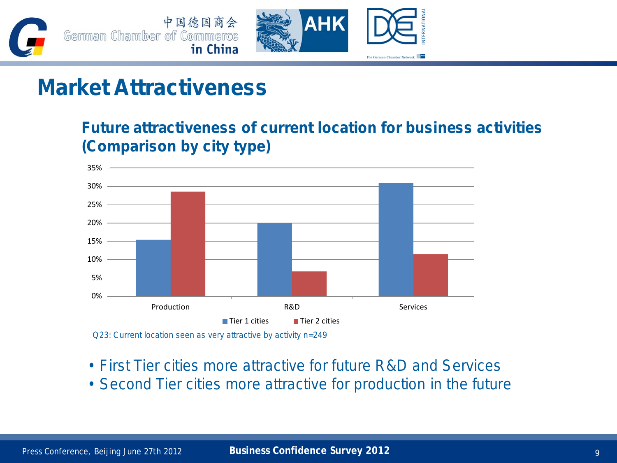

## **Market Attractiveness**

**Future attractiveness of current location for business activities (Comparison by city type)**



Q23: Current location seen as very attractive by activity n=249

- First Tier cities more attractive for future R&D and Services
- Second Tier cities more attractive for production in the future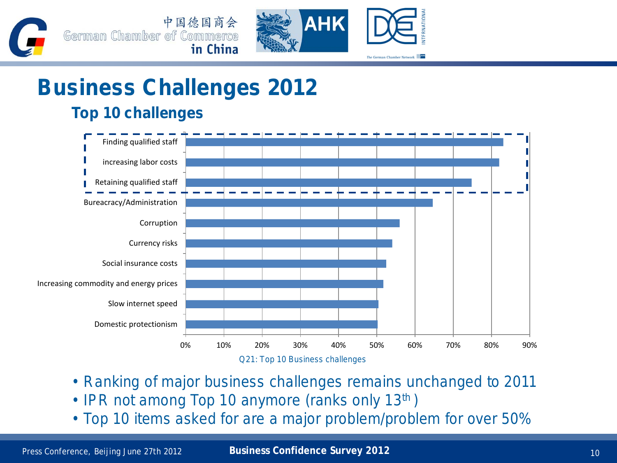



### **Top 10 challenges**



- Ranking of major business challenges remains unchanged to 2011
- IPR not among Top 10 anymore (ranks only 13<sup>th</sup>)
- Top 10 items asked for are a major problem/problem for over 50%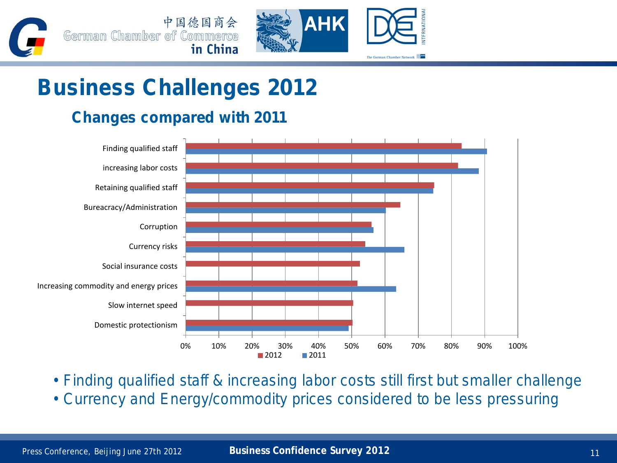



### **Changes compared with 2011**



- Finding qualified staff & increasing labor costs still first but smaller challenge
- Currency and Energy/commodity prices considered to be less pressuring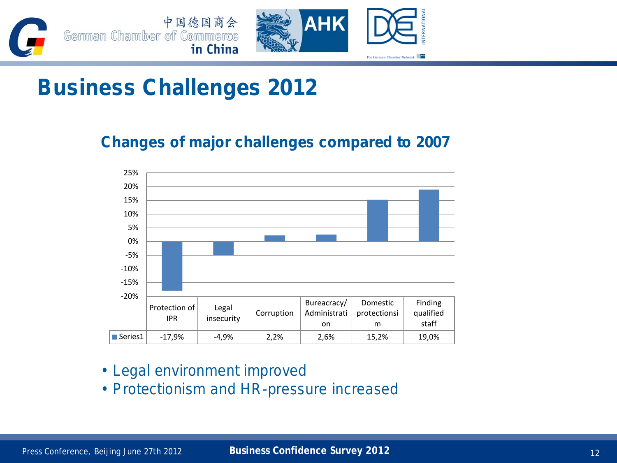



### **Changes of major challenges compared to 2007**



- Legal environment improved
- Protectionism and HR-pressure increased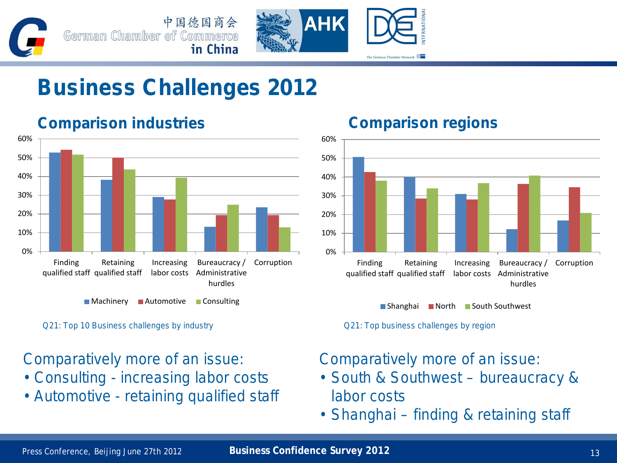





### **Comparison industries Comparison regions**

■ Machinery ■ Automotive ■ Consulting

Q21: Top 10 Business challenges by industry Q21: Top business challenges by region

### Comparatively more of an issue:

- Consulting increasing labor costs
- Automotive retaining qualified staff



■ Shanghai ■ North ■ South Southwest

### Comparatively more of an issue:

- South & Southwest bureaucracy & labor costs
- Shanghai finding & retaining staff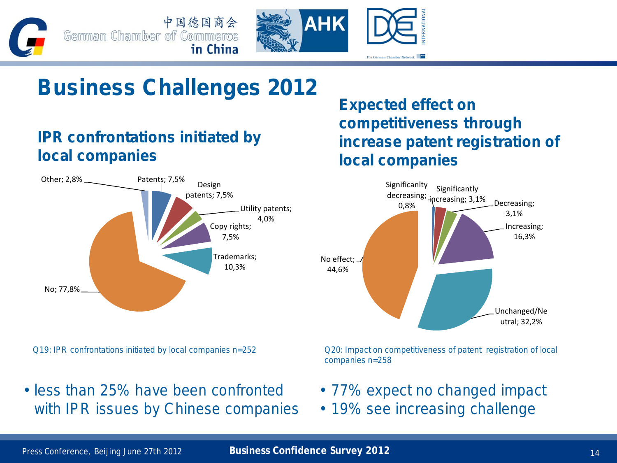**AHK** 

## **Business Challenges 2012**

中国德国商会

in China

### **IPR confrontations initiated by local companies**

German Chamber of Commerce



Q19: IPR confrontations initiated by local companies n=252 Q20: Impact on competitiveness of patent registration of local

• less than 25% have been confronted with IPR issues by Chinese companies **Expected effect on competitiveness through increase patent registration of local companies**

The German Chamber Network



companies n=258

- 77% expect no changed impact
- 19% see increasing challenge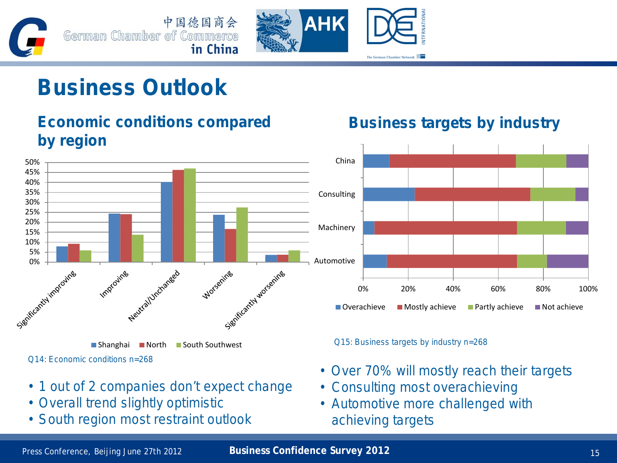



## **Business Outlook**

**Economic conditions compared** 

### **by region** 50% 45% 40% 35% 30% 25% 20% 15% 10% 5% 0% - 1 mgravine Neutral Urchanged Sienticantly worsentes Improving Worsening ■ Shanghai ■ North ■ South Southwest

Q14: Economic conditions n=268

- 1 out of 2 companies don't expect change
- Overall trend slightly optimistic
- South region most restraint outlook

### **Business targets by industry**



Q15: Business targets by industry n=268

- Over 70% will mostly reach their targets
- Consulting most overachieving
- Automotive more challenged with achieving targets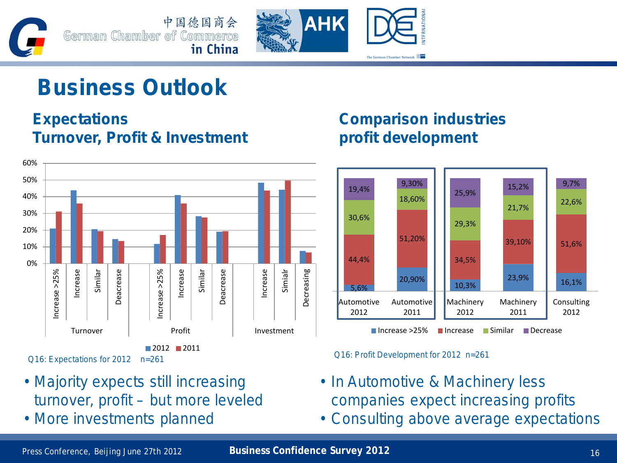



## **Business Outlook**

### **Expectations Turnover, Profit & Investment**



- Majority expects still increasing turnover, profit – but more leveled
- More investments planned

### **Comparison industries profit development**





- In Automotive & Machinery less companies expect increasing profits
- Consulting above average expectations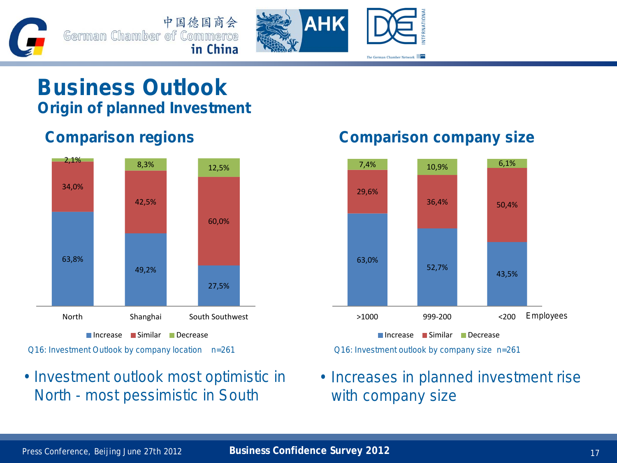



## **Business Outlook Origin of planned Investment**



### • Investment outlook most optimistic in North - most pessimistic in South

### **Comparison regions Comparison company size**



• Increases in planned investment rise with company size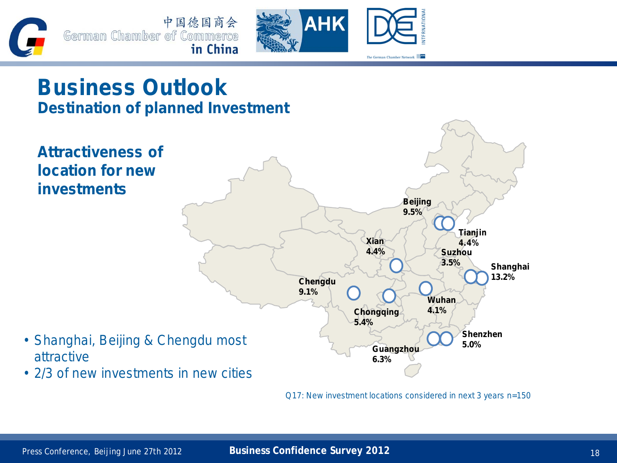



## **Business Outlook Destination of planned Investment**



Q17: New investment locations considered in next 3 years n=150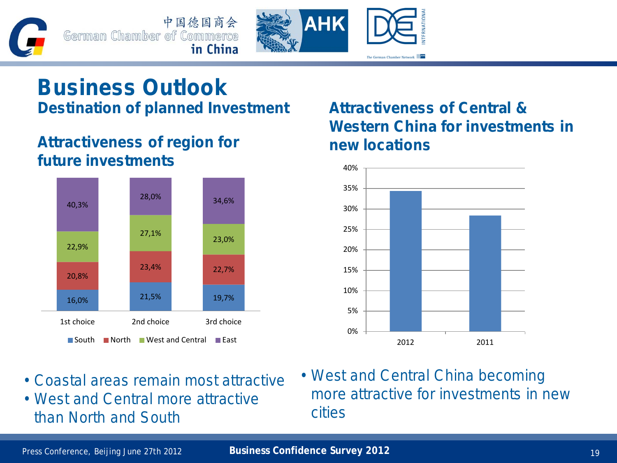中国德国商会 German Chamber of Commerce in China



## **Business Outlook Destination of planned Investment**

### **Attractiveness of region for future investments**



- Coastal areas remain most attractive
- West and Central more attractive than North and South

### **Attractiveness of Central & Western China for investments in new locations**



• West and Central China becoming more attractive for investments in new cities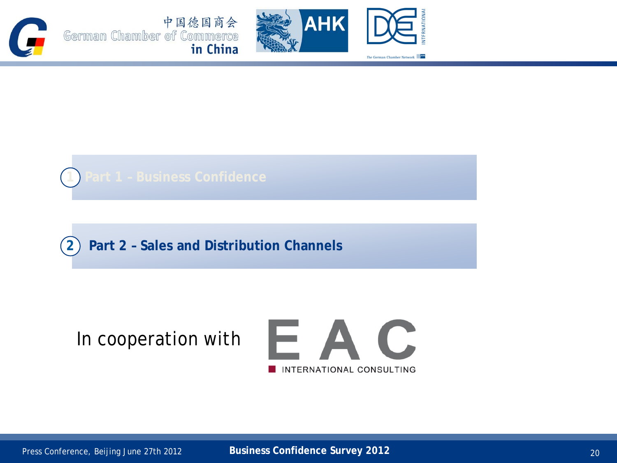





**2 Part 2 – Sales and Distribution Channels**

## In cooperation with

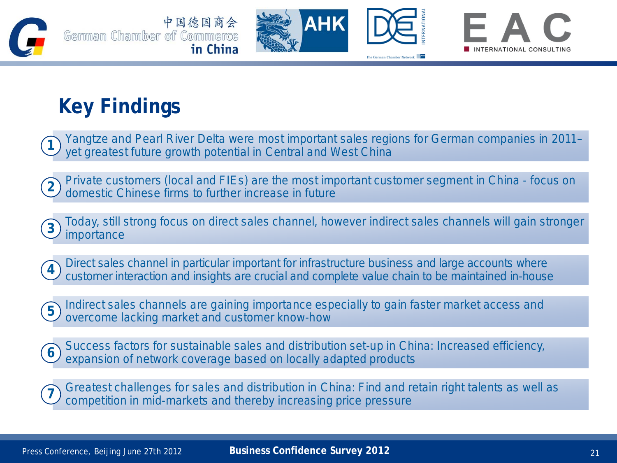







## **Key Findings**

Yangtze and Pearl River Delta were most important sales regions for German companies in 2011– yet greatest future growth potential in Central and West China **1**

Private customers (local and FIEs) are the most important customer segment in China - focus on domestic Chinese firms to further increase in future **2**





Direct sales channel in particular important for infrastructure business and large accounts where customer interaction and insights are crucial and complete value chain to be maintained in-house **4**

Indirect sales channels are gaining importance especially to gain faster market access and overcome lacking market and customer know-how **5**



Success factors for sustainable sales and distribution set-up in China: Increased efficiency, expansion of network coverage based on locally adapted products **6**

Greatest challenges for sales and distribution in China: Find and retain right talents as well as competition in mid-markets and thereby increasing price pressure **7**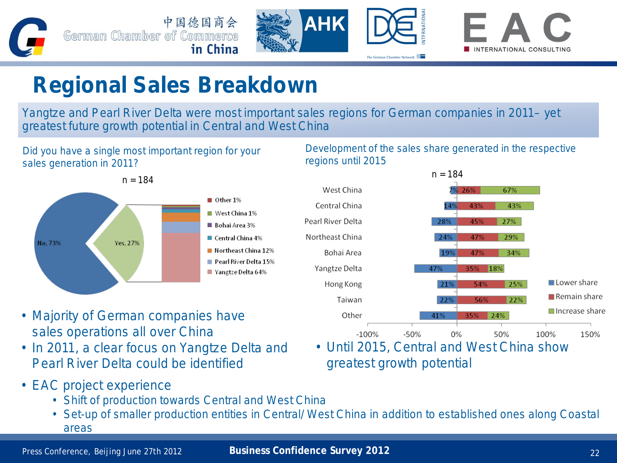





## **Regional Sales Breakdown**

Yangtze and Pearl River Delta were most important sales regions for German companies in 2011– yet greatest future growth potential in Central and West China

Did you have a single most important region for your sales generation in 2011?



Development of the sales share generated in the respective regions until 2015



- Majority of German companies have sales operations all over China
- In 2011, a clear focus on Yangtze Delta and Pearl River Delta could be identified
	- Until 2015, Central and West China show greatest growth potential
- EAC project experience
	- Shift of production towards Central and West China
	- Set-up of smaller production entities in Central/ West China in addition to established ones along Coastal areas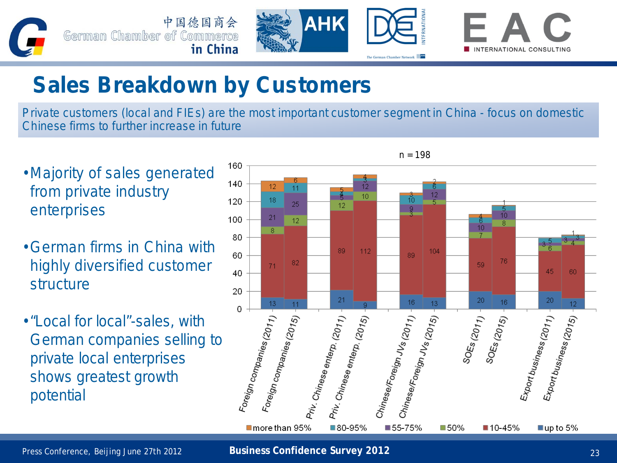

## **Sales Breakdown by Customers**

Private customers (local and FIEs) are the most important customer segment in China - focus on domestic Chinese firms to further increase in future

- Majority of sales generated from private industry enterprises
- German firms in China with highly diversified customer structure
- •"Local for local"-sales, with German companies selling to private local enterprises shows greatest growth potential

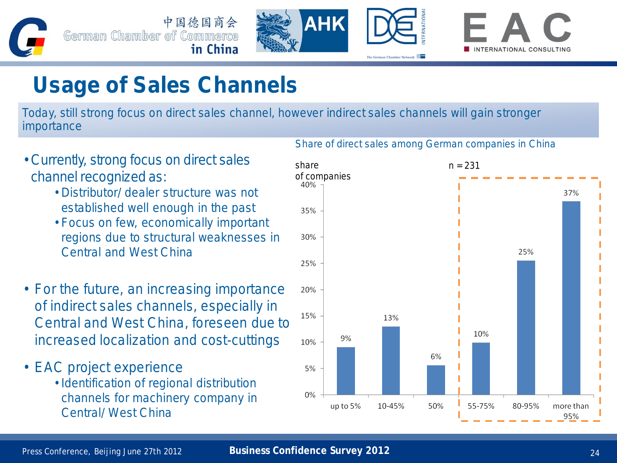





## **Usage of Sales Channels**

Today, still strong focus on direct sales channel, however indirect sales channels will gain stronger importance



Share of direct sales among German companies in China

- Currently, strong focus on direct sales channel recognized as:
	- Distributor/ dealer structure was not established well enough in the past
	- Focus on few, economically important regions due to structural weaknesses in Central and West China
- For the future, an increasing importance of indirect sales channels, especially in Central and West China, foreseen due to increased localization and cost-cuttings
- EAC project experience
	- Identification of regional distribution channels for machinery company in Central/ West China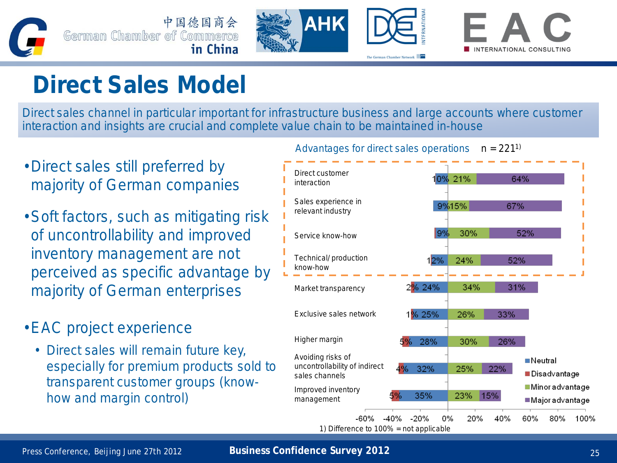





# **Direct Sales Model**

Direct sales channel in particular important for infrastructure business and large accounts where customer interaction and insights are crucial and complete value chain to be maintained in-house

- Direct sales still preferred by majority of German companies
- •Soft factors, such as mitigating risk of uncontrollability and improved inventory management are not perceived as specific advantage by majority of German enterprises
- •EAC project experience
	- Direct sales will remain future key, especially for premium products sold to transparent customer groups (knowhow and margin control)

Advantages for direct sales operations  $n = 221^{1}$ 

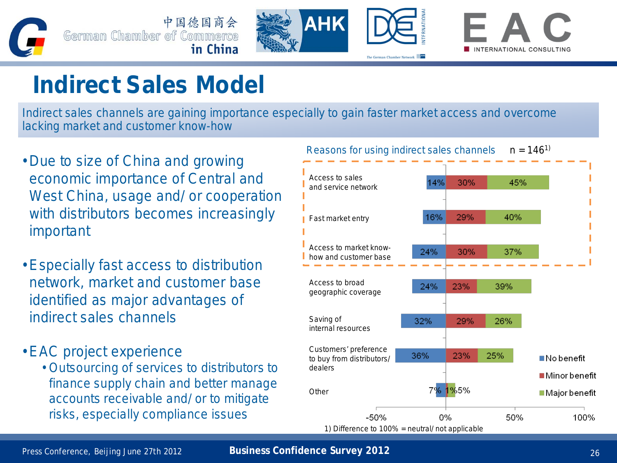





# **Indirect Sales Model**

Indirect sales channels are gaining importance especially to gain faster market access and overcome lacking market and customer know-how

- Due to size of China and growing economic importance of Central and West China, usage and/ or cooperation with distributors becomes increasingly important
- Especially fast access to distribution network, market and customer base identified as major advantages of indirect sales channels
- EAC project experience
	- Outsourcing of services to distributors to finance supply chain and better manage accounts receivable and/ or to mitigate risks, especially compliance issues

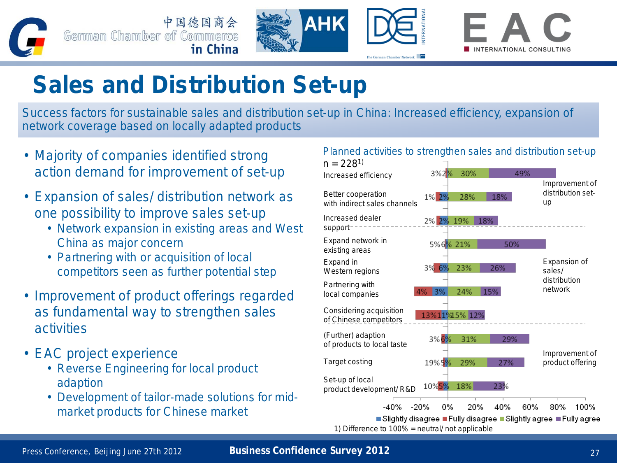

中国德国商会 German Chamber of Commerce in China





# **Sales and Distribution Set-up**

Success factors for sustainable sales and distribution set-up in China: Increased efficiency, expansion of network coverage based on locally adapted products

- Majority of companies identified strong action demand for improvement of set-up
- Expansion of sales/ distribution network as one possibility to improve sales set-up
	- Network expansion in existing areas and West China as major concern
	- Partnering with or acquisition of local competitors seen as further potential step
- Improvement of product offerings regarded as fundamental way to strengthen sales activities
- EAC project experience
	- Reverse Engineering for local product adaption
	- Development of tailor-made solutions for midmarket products for Chinese market

### Planned activities to strengthen sales and distribution set-up



### Press Conference, Beijing June 27th 2012 **Business Confidence Survey 2012** 27 and 27 and 27 and 27 and 27 and 27